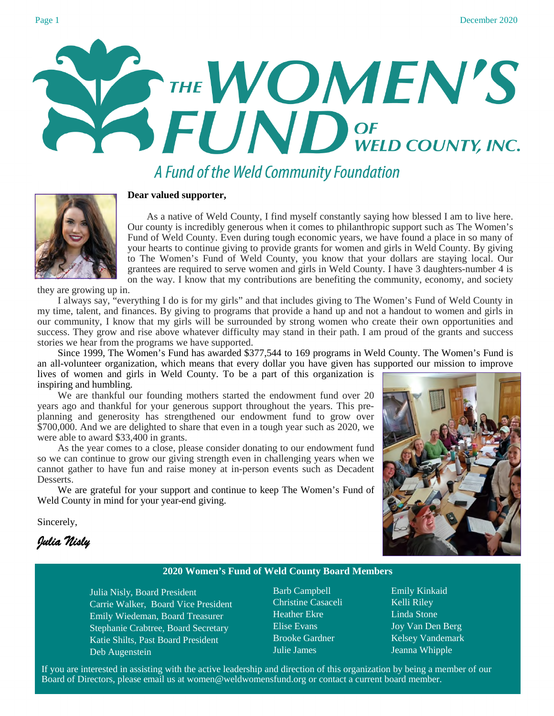December

A Fund of the Weld Community Foundation



#### **Dear valued supporter,**

 As a native of Weld County, I find myself constantly saying how blessed I am to live here. Our county is incredibly generous when it comes to philanthropic support such as The Women's Fund of Weld County. Even during tough economic years, we have found a place in so many of your hearts to continue giving to provide grants for women and girls in Weld County. By giving to The Women's Fund of Weld County, you know that your dollars are staying local. Our grantees are required to serve women and girls in Weld County. I have 3 daughters-number 4 is on the way. I know that my contributions are benefiting the community, economy, and society

they are growing up in.

I always say, "everything I do is for my girls" and that includes giving to The Women's Fund of Weld County in my time, talent, and finances. By giving to programs that provide a hand up and not a handout to women and girls in our community, I know that my girls will be surrounded by strong women who create their own opportunities and success. They grow and rise above whatever difficulty may stand in their path. I am proud of the grants and success stories we hear from the programs we have supported.

Since 1999, The Women's Fund has awarded \$377,544 to 169 programs in Weld County. The Women's Fund is an all-volunteer organization, which means that every dollar you have given has supported our mission to improve lives of women and girls in Weld County. To be a part of this organization is

inspiring and humbling. We are thankful our founding mothers started the endowment fund over 20 years ago and thankful for your generous support throughout the years. This preplanning and generosity has strengthened our endowment fund to grow over \$700,000. And we are delighted to share that even in a tough year such as 2020, we were able to award \$33,400 in grants.

As the year comes to a close, please consider donating to our endowment fund so we can continue to grow our giving strength even in challenging years when we cannot gather to have fun and raise money at in-person events such as Decadent Desserts.

We are grateful for your support and continue to keep The Women's Fund of Weld County in mind for your year-end giving.



Sincerely,

*Julia Nisly* 

#### **2020 Women's Fund of Weld County Board Members**

Julia Nisly, Board President Carrie Walker, Board Vice President Emily Wiedeman, Board Treasurer Stephanie Crabtree, Board Secretary Katie Shilts, Past Board President Deb Augenstein

Barb Campbell Christine Casaceli Heather Ekre Elise Evans Brooke Gardner Julie James

Emily Kinkaid Kelli Riley Linda Stone Joy Van Den Berg Kelsey Vandemark Jeanna Whipple

If you are interested in assisting with the active leadership and direction of this organization by being a member of our Board of Directors, please email us at women@weldwomensfund.org or contact a current board member.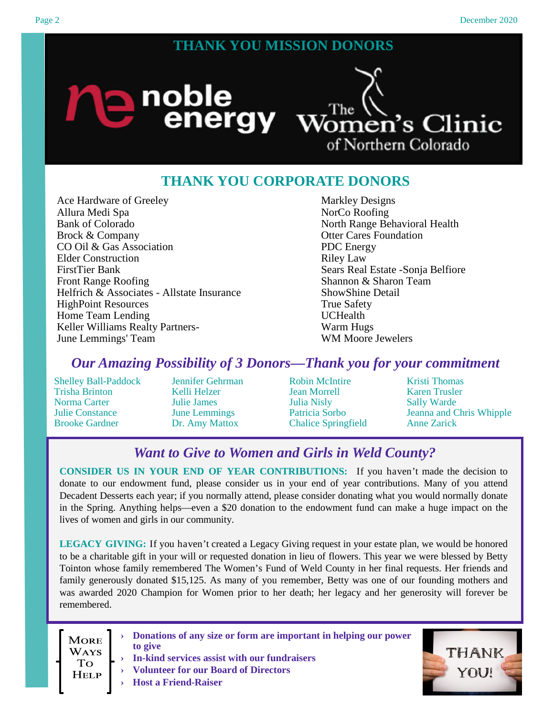## **THANK YOU MISSION DONORS**



## **THANK YOU CORPORATE DONORS**

Ace Hardware of Greeley Allura Medi Spa Bank of Colorado Brock & Company CO Oil & Gas Association Elder Construction FirstTier Bank Front Range Roofing Helfrich & Associates - Allstate Insurance HighPoint Resources Home Team Lending Keller Williams Realty Partners-June Lemmings' Team

Markley Designs NorCo Roofing North Range Behavioral Health Otter Cares Foundation PDC Energy Riley Law Sears Real Estate -Sonja Belfiore Shannon & Sharon Team ShowShine Detail True Safety UCHealth Warm Hugs WM Moore Jewelers

### *Our Amazing Possibility of 3 Donors—Thank you for your commitment*

Shelley Ball-Paddock Trisha Brinton Norma Carter Julie Constance Brooke Gardner

Jennifer Gehrman Kelli Helzer Julie James June Lemmings Dr. Amy Mattox

Robin McIntire Jean Morrell Julia Nisly Patricia Sorbo Chalice Springfield Kristi Thomas Karen Trusler Sally Warde Jeanna and Chris Whipple Anne Zarick

# *Want to Give to Women and Girls in Weld County?*

**CONSIDER US IN YOUR END OF YEAR CONTRIBUTIONS:** If you haven't made the decision to donate to our endowment fund, please consider us in your end of year contributions. Many of you attend Decadent Desserts each year; if you normally attend, please consider donating what you would normally donate in the Spring. Anything helps—even a \$20 donation to the endowment fund can make a huge impact on the lives of women and girls in our community.

**LEGACY GIVING:** If you haven't created a Legacy Giving request in your estate plan, we would be honored to be a charitable gift in your will or requested donation in lieu of flowers. This year we were blessed by Betty Tointon whose family remembered The Women's Fund of Weld County in her final requests. Her friends and family generously donated \$15,125. As many of you remember, Betty was one of our founding mothers and was awarded 2020 Champion for Women prior to her death; her legacy and her generosity will forever be remembered.

**MORE WAYS To** Help

**› Donations of any size or form are important in helping our power to give**

- **› In-kind services assist with our fundraisers**
- **› Volunteer for our Board of Directors**

**› Host a Friend-Raiser**

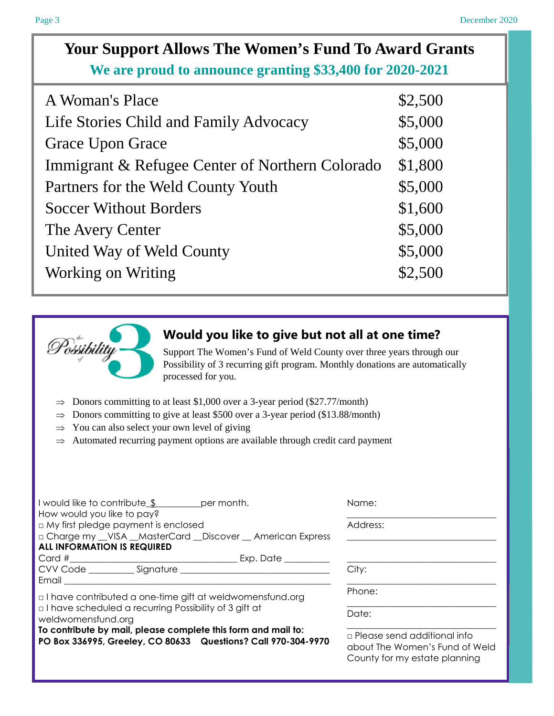# **Your Support Allows The Women's Fund To Award Grants We are proud to announce granting \$33,400 for 2020-2021**

| A Woman's Place                                 | \$2,500 |
|-------------------------------------------------|---------|
| Life Stories Child and Family Advocacy          | \$5,000 |
| <b>Grace Upon Grace</b>                         | \$5,000 |
| Immigrant & Refugee Center of Northern Colorado | \$1,800 |
| Partners for the Weld County Youth              | \$5,000 |
| <b>Soccer Without Borders</b>                   | \$1,600 |
| The Avery Center                                | \$5,000 |
| United Way of Weld County                       | \$5,000 |
| Working on Writing                              | \$2,500 |



## **Would you like to give but not all at one time?**

Support The Women's Fund of Weld County over three years through our Possibility of 3 recurring gift program. Monthly donations are automatically processed for you.

- $\Rightarrow$  Donors committing to at least \$1,000 over a 3-year period (\$27.77/month)
- $\Rightarrow$  Donors committing to give at least \$500 over a 3-year period (\$13.88/month)
- $\Rightarrow$  You can also select your own level of giving
- ⇒ Automated recurring payment options are available through credit card payment

| I would like to contribute \$ per month.<br>How would you like to pay?                                                         | Name:                                                                                                 |
|--------------------------------------------------------------------------------------------------------------------------------|-------------------------------------------------------------------------------------------------------|
| □ My first pledge payment is enclosed                                                                                          | Address:                                                                                              |
| □ Charge my __VISA __MasterCard __Discover __ American Express                                                                 |                                                                                                       |
| <b>ALL INFORMATION IS REQUIRED</b>                                                                                             |                                                                                                       |
|                                                                                                                                |                                                                                                       |
|                                                                                                                                | City:                                                                                                 |
| Email <b>Email</b>                                                                                                             |                                                                                                       |
| $\Box$ I have contributed a one-time gift at weldwomensfund.org                                                                | Phone:                                                                                                |
| $\Box$ I have scheduled a recurring Possibility of 3 gift at<br>weldwomensfund.org                                             | Date:                                                                                                 |
| To contribute by mail, please complete this form and mail to:<br>PO Box 336995, Greeley, CO 80633 Questions? Call 970-304-9970 | $\Box$ Please send additional info<br>about The Women's Fund of Weld<br>County for my estate planning |